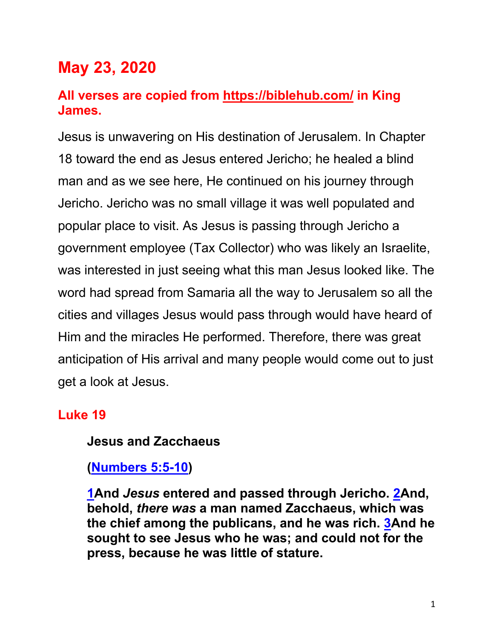# **May 23, 2020**

### **All verses are copied from https://biblehub.com/ in King James.**

Jesus is unwavering on His destination of Jerusalem. In Chapter 18 toward the end as Jesus entered Jericho; he healed a blind man and as we see here, He continued on his journey through Jericho. Jericho was no small village it was well populated and popular place to visit. As Jesus is passing through Jericho a government employee (Tax Collector) who was likely an Israelite, was interested in just seeing what this man Jesus looked like. The word had spread from Samaria all the way to Jerusalem so all the cities and villages Jesus would pass through would have heard of Him and the miracles He performed. Therefore, there was great anticipation of His arrival and many people would come out to just get a look at Jesus.

#### **Luke 19**

#### **Jesus and Zacchaeus**

#### **(Numbers 5:5-10)**

**1And** *Jesus* **entered and passed through Jericho. 2And, behold,** *there was* **a man named Zacchaeus, which was the chief among the publicans, and he was rich. 3And he sought to see Jesus who he was; and could not for the press, because he was little of stature.**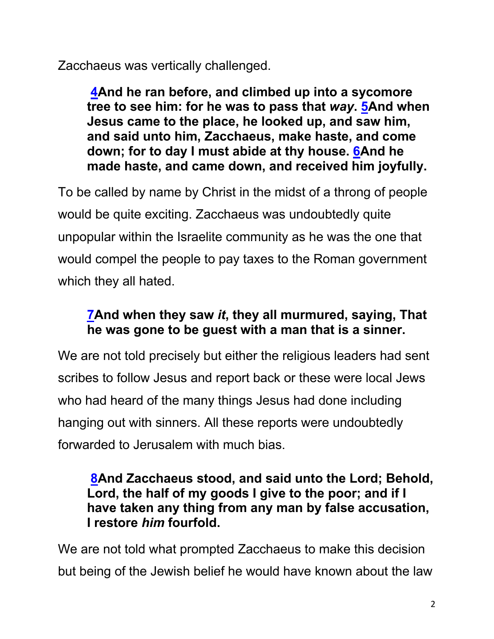Zacchaeus was vertically challenged.

**4And he ran before, and climbed up into a sycomore tree to see him: for he was to pass that** *way***. 5And when Jesus came to the place, he looked up, and saw him, and said unto him, Zacchaeus, make haste, and come down; for to day I must abide at thy house. 6And he made haste, and came down, and received him joyfully.**

To be called by name by Christ in the midst of a throng of people would be quite exciting. Zacchaeus was undoubtedly quite unpopular within the Israelite community as he was the one that would compel the people to pay taxes to the Roman government which they all hated.

### **7And when they saw** *it***, they all murmured, saying, That he was gone to be guest with a man that is a sinner.**

We are not told precisely but either the religious leaders had sent scribes to follow Jesus and report back or these were local Jews who had heard of the many things Jesus had done including hanging out with sinners. All these reports were undoubtedly forwarded to Jerusalem with much bias.

#### **8And Zacchaeus stood, and said unto the Lord; Behold, Lord, the half of my goods I give to the poor; and if I have taken any thing from any man by false accusation, I restore** *him* **fourfold.**

We are not told what prompted Zacchaeus to make this decision but being of the Jewish belief he would have known about the law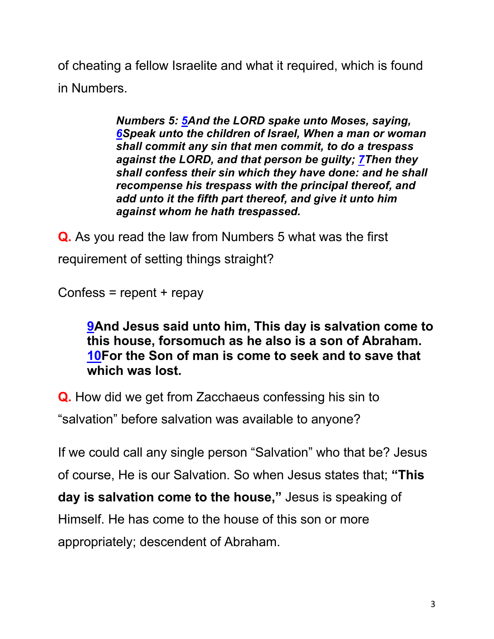of cheating a fellow Israelite and what it required, which is found in Numbers.

> *Numbers 5: 5And the LORD spake unto Moses, saying, 6Speak unto the children of Israel, When a man or woman shall commit any sin that men commit, to do a trespass against the LORD, and that person be guilty; 7Then they shall confess their sin which they have done: and he shall recompense his trespass with the principal thereof, and add unto it the fifth part thereof, and give it unto him against whom he hath trespassed.*

**Q.** As you read the law from Numbers 5 what was the first requirement of setting things straight?

Confess =  $report + repay$ 

**9And Jesus said unto him, This day is salvation come to this house, forsomuch as he also is a son of Abraham. 10For the Son of man is come to seek and to save that which was lost.**

**Q.** How did we get from Zacchaeus confessing his sin to "salvation" before salvation was available to anyone?

If we could call any single person "Salvation" who that be? Jesus of course, He is our Salvation. So when Jesus states that; **"This day is salvation come to the house,"** Jesus is speaking of Himself. He has come to the house of this son or more appropriately; descendent of Abraham.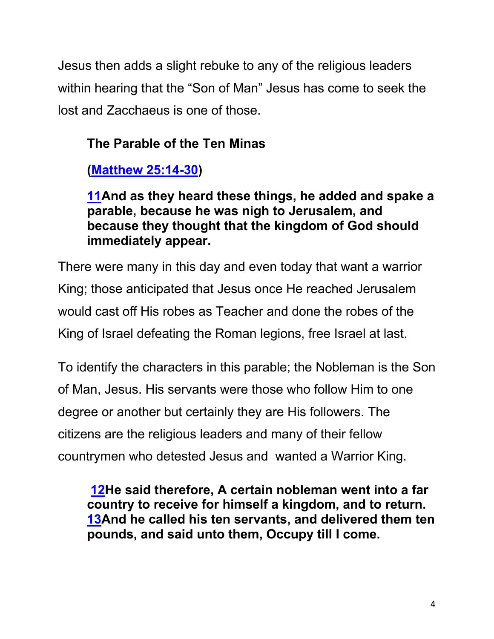Jesus then adds a slight rebuke to any of the religious leaders within hearing that the "Son of Man" Jesus has come to seek the lost and Zacchaeus is one of those.

## **The Parable of the Ten Minas**

## **(Matthew 25:14-30)**

**11And as they heard these things, he added and spake a parable, because he was nigh to Jerusalem, and because they thought that the kingdom of God should immediately appear.**

There were many in this day and even today that want a warrior King; those anticipated that Jesus once He reached Jerusalem would cast off His robes as Teacher and done the robes of the King of Israel defeating the Roman legions, free Israel at last.

To identify the characters in this parable; the Nobleman is the Son of Man, Jesus. His servants were those who follow Him to one degree or another but certainly they are His followers. The citizens are the religious leaders and many of their fellow countrymen who detested Jesus and wanted a Warrior King.

**12He said therefore, A certain nobleman went into a far country to receive for himself a kingdom, and to return. 13And he called his ten servants, and delivered them ten pounds, and said unto them, Occupy till I come.**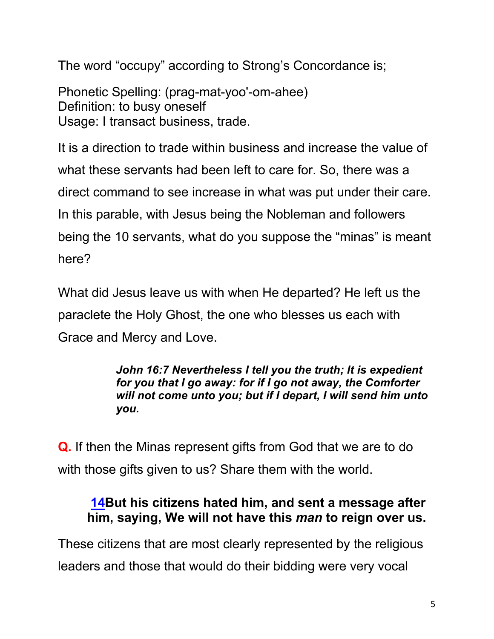The word "occupy" according to Strong's Concordance is;

Phonetic Spelling: (prag-mat-yoo'-om-ahee) Definition: to busy oneself Usage: I transact business, trade.

It is a direction to trade within business and increase the value of what these servants had been left to care for. So, there was a direct command to see increase in what was put under their care. In this parable, with Jesus being the Nobleman and followers being the 10 servants, what do you suppose the "minas" is meant here?

What did Jesus leave us with when He departed? He left us the paraclete the Holy Ghost, the one who blesses us each with Grace and Mercy and Love.

#### *John 16:7 Nevertheless I tell you the truth; It is expedient for you that I go away: for if I go not away, the Comforter will not come unto you; but if I depart, I will send him unto you.*

**Q.** If then the Minas represent gifts from God that we are to do with those gifts given to us? Share them with the world.

### **14But his citizens hated him, and sent a message after him, saying, We will not have this** *man* **to reign over us.**

These citizens that are most clearly represented by the religious leaders and those that would do their bidding were very vocal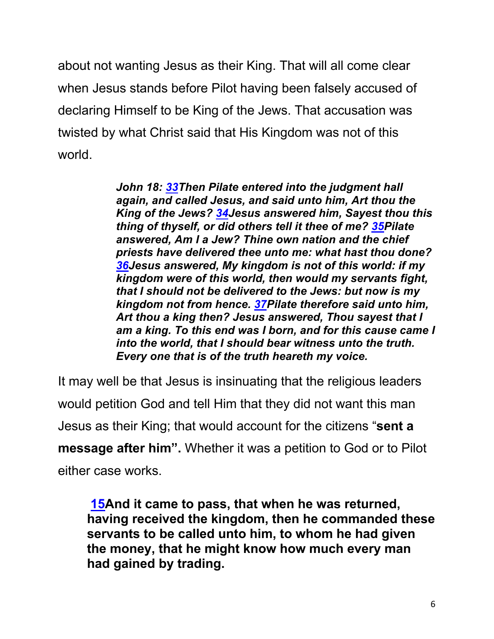about not wanting Jesus as their King. That will all come clear when Jesus stands before Pilot having been falsely accused of declaring Himself to be King of the Jews. That accusation was twisted by what Christ said that His Kingdom was not of this world.

> *John 18: 33Then Pilate entered into the judgment hall again, and called Jesus, and said unto him, Art thou the King of the Jews? 34Jesus answered him, Sayest thou this thing of thyself, or did others tell it thee of me? 35Pilate answered, Am I a Jew? Thine own nation and the chief priests have delivered thee unto me: what hast thou done? 36Jesus answered, My kingdom is not of this world: if my kingdom were of this world, then would my servants fight, that I should not be delivered to the Jews: but now is my kingdom not from hence. 37Pilate therefore said unto him, Art thou a king then? Jesus answered, Thou sayest that I am a king. To this end was I born, and for this cause came I into the world, that I should bear witness unto the truth. Every one that is of the truth heareth my voice.*

It may well be that Jesus is insinuating that the religious leaders would petition God and tell Him that they did not want this man Jesus as their King; that would account for the citizens "**sent a message after him".** Whether it was a petition to God or to Pilot either case works.

**15And it came to pass, that when he was returned, having received the kingdom, then he commanded these servants to be called unto him, to whom he had given the money, that he might know how much every man had gained by trading.**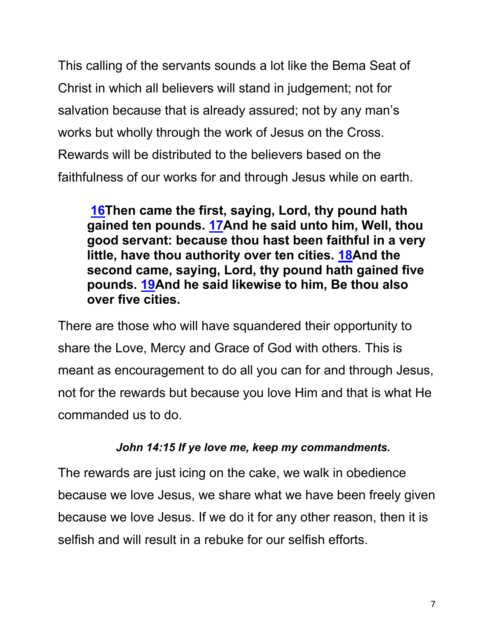This calling of the servants sounds a lot like the Bema Seat of Christ in which all believers will stand in judgement; not for salvation because that is already assured; not by any man's works but wholly through the work of Jesus on the Cross. Rewards will be distributed to the believers based on the faithfulness of our works for and through Jesus while on earth.

**16Then came the first, saying, Lord, thy pound hath gained ten pounds. 17And he said unto him, Well, thou good servant: because thou hast been faithful in a very little, have thou authority over ten cities. 18And the second came, saying, Lord, thy pound hath gained five pounds. 19And he said likewise to him, Be thou also over five cities.**

There are those who will have squandered their opportunity to share the Love, Mercy and Grace of God with others. This is meant as encouragement to do all you can for and through Jesus, not for the rewards but because you love Him and that is what He commanded us to do.

#### *John 14:15 If ye love me, keep my commandments.*

The rewards are just icing on the cake, we walk in obedience because we love Jesus, we share what we have been freely given because we love Jesus. If we do it for any other reason, then it is selfish and will result in a rebuke for our selfish efforts.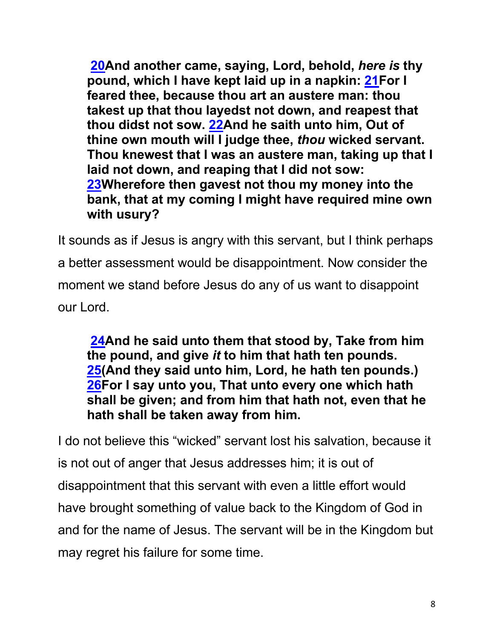**20And another came, saying, Lord, behold,** *here is* **thy pound, which I have kept laid up in a napkin: 21For I feared thee, because thou art an austere man: thou takest up that thou layedst not down, and reapest that thou didst not sow. 22And he saith unto him, Out of thine own mouth will I judge thee,** *thou* **wicked servant. Thou knewest that I was an austere man, taking up that I laid not down, and reaping that I did not sow: 23Wherefore then gavest not thou my money into the bank, that at my coming I might have required mine own with usury?**

It sounds as if Jesus is angry with this servant, but I think perhaps a better assessment would be disappointment. Now consider the moment we stand before Jesus do any of us want to disappoint our Lord.

**24And he said unto them that stood by, Take from him the pound, and give** *it* **to him that hath ten pounds. 25(And they said unto him, Lord, he hath ten pounds.) 26For I say unto you, That unto every one which hath shall be given; and from him that hath not, even that he hath shall be taken away from him.**

I do not believe this "wicked" servant lost his salvation, because it is not out of anger that Jesus addresses him; it is out of disappointment that this servant with even a little effort would have brought something of value back to the Kingdom of God in and for the name of Jesus. The servant will be in the Kingdom but may regret his failure for some time.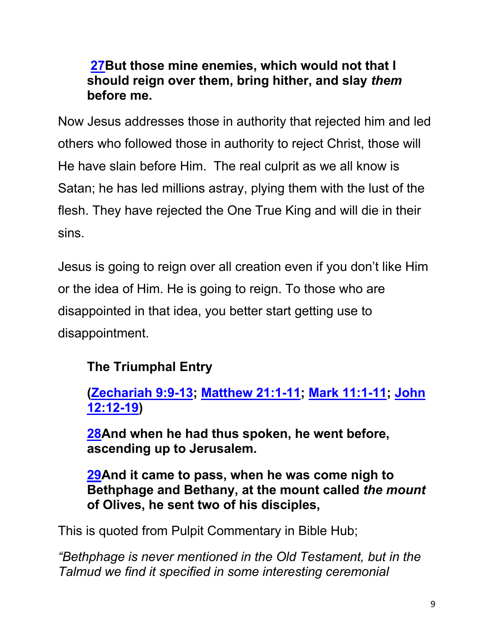### **27But those mine enemies, which would not that I should reign over them, bring hither, and slay** *them* **before me.**

Now Jesus addresses those in authority that rejected him and led others who followed those in authority to reject Christ, those will He have slain before Him. The real culprit as we all know is Satan; he has led millions astray, plying them with the lust of the flesh. They have rejected the One True King and will die in their sins.

Jesus is going to reign over all creation even if you don't like Him or the idea of Him. He is going to reign. To those who are disappointed in that idea, you better start getting use to disappointment.

## **The Triumphal Entry**

**(Zechariah 9:9-13; Matthew 21:1-11; Mark 11:1-11; John 12:12-19)**

**28And when he had thus spoken, he went before, ascending up to Jerusalem.**

**29And it came to pass, when he was come nigh to Bethphage and Bethany, at the mount called** *the mount* **of Olives, he sent two of his disciples,**

This is quoted from Pulpit Commentary in Bible Hub;

*"Bethphage is never mentioned in the Old Testament, but in the Talmud we find it specified in some interesting ceremonial*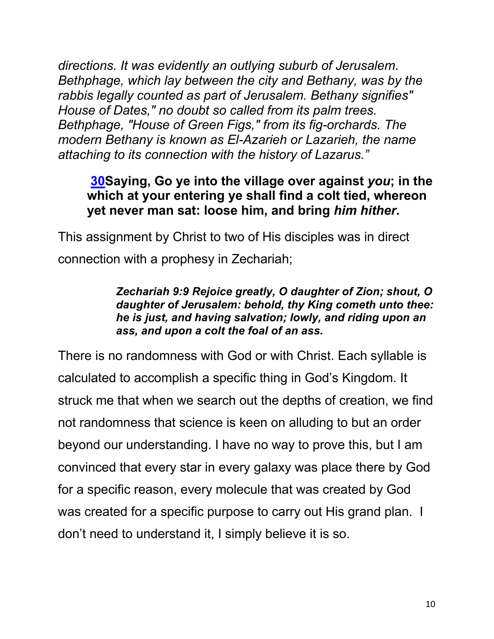*directions. It was evidently an outlying suburb of Jerusalem. Bethphage, which lay between the city and Bethany, was by the rabbis legally counted as part of Jerusalem. Bethany signifies" House of Dates," no doubt so called from its palm trees. Bethphage, "House of Green Figs," from its fig-orchards. The modern Bethany is known as El-Azarieh or Lazarieh, the name attaching to its connection with the history of Lazarus."*

#### **30Saying, Go ye into the village over against** *you***; in the which at your entering ye shall find a colt tied, whereon yet never man sat: loose him, and bring** *him hither***.**

This assignment by Christ to two of His disciples was in direct connection with a prophesy in Zechariah;

#### *Zechariah 9:9 Rejoice greatly, O daughter of Zion; shout, O daughter of Jerusalem: behold, thy King cometh unto thee: he is just, and having salvation; lowly, and riding upon an ass, and upon a colt the foal of an ass.*

There is no randomness with God or with Christ. Each syllable is calculated to accomplish a specific thing in God's Kingdom. It struck me that when we search out the depths of creation, we find not randomness that science is keen on alluding to but an order beyond our understanding. I have no way to prove this, but I am convinced that every star in every galaxy was place there by God for a specific reason, every molecule that was created by God was created for a specific purpose to carry out His grand plan. I don't need to understand it, I simply believe it is so.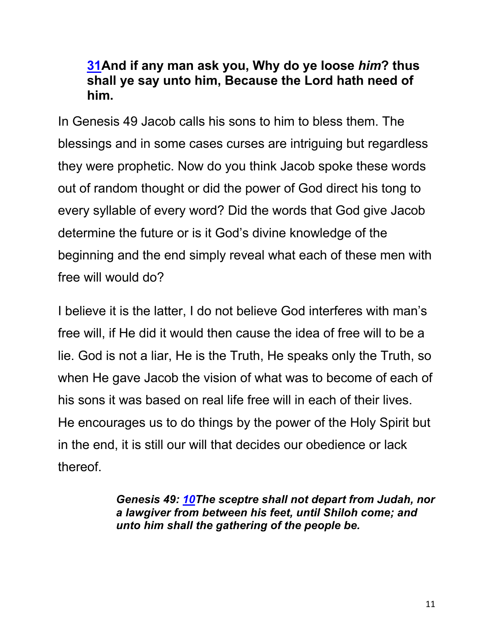#### **31And if any man ask you, Why do ye loose** *him***? thus shall ye say unto him, Because the Lord hath need of him.**

In Genesis 49 Jacob calls his sons to him to bless them. The blessings and in some cases curses are intriguing but regardless they were prophetic. Now do you think Jacob spoke these words out of random thought or did the power of God direct his tong to every syllable of every word? Did the words that God give Jacob determine the future or is it God's divine knowledge of the beginning and the end simply reveal what each of these men with free will would do?

I believe it is the latter, I do not believe God interferes with man's free will, if He did it would then cause the idea of free will to be a lie. God is not a liar, He is the Truth, He speaks only the Truth, so when He gave Jacob the vision of what was to become of each of his sons it was based on real life free will in each of their lives. He encourages us to do things by the power of the Holy Spirit but in the end, it is still our will that decides our obedience or lack thereof.

> *Genesis 49: 10The sceptre shall not depart from Judah, nor a lawgiver from between his feet, until Shiloh come; and unto him shall the gathering of the people be.*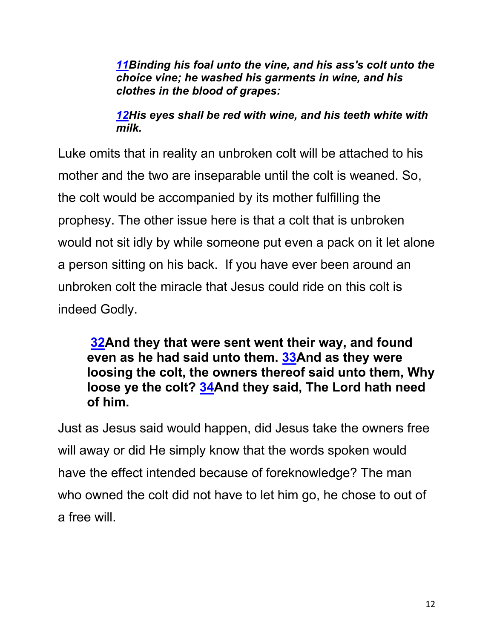*11Binding his foal unto the vine, and his ass's colt unto the choice vine; he washed his garments in wine, and his clothes in the blood of grapes:*

*12His eyes shall be red with wine, and his teeth white with milk.*

Luke omits that in reality an unbroken colt will be attached to his mother and the two are inseparable until the colt is weaned. So, the colt would be accompanied by its mother fulfilling the prophesy. The other issue here is that a colt that is unbroken would not sit idly by while someone put even a pack on it let alone a person sitting on his back. If you have ever been around an unbroken colt the miracle that Jesus could ride on this colt is indeed Godly.

**32And they that were sent went their way, and found even as he had said unto them. 33And as they were loosing the colt, the owners thereof said unto them, Why loose ye the colt? 34And they said, The Lord hath need of him.**

Just as Jesus said would happen, did Jesus take the owners free will away or did He simply know that the words spoken would have the effect intended because of foreknowledge? The man who owned the colt did not have to let him go, he chose to out of a free will.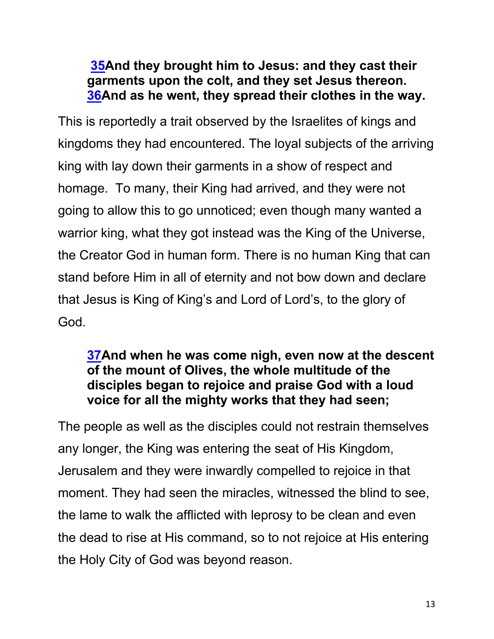### **35And they brought him to Jesus: and they cast their garments upon the colt, and they set Jesus thereon. 36And as he went, they spread their clothes in the way.**

This is reportedly a trait observed by the Israelites of kings and kingdoms they had encountered. The loyal subjects of the arriving king with lay down their garments in a show of respect and homage. To many, their King had arrived, and they were not going to allow this to go unnoticed; even though many wanted a warrior king, what they got instead was the King of the Universe, the Creator God in human form. There is no human King that can stand before Him in all of eternity and not bow down and declare that Jesus is King of King's and Lord of Lord's, to the glory of God.

### **37And when he was come nigh, even now at the descent of the mount of Olives, the whole multitude of the disciples began to rejoice and praise God with a loud voice for all the mighty works that they had seen;**

The people as well as the disciples could not restrain themselves any longer, the King was entering the seat of His Kingdom, Jerusalem and they were inwardly compelled to rejoice in that moment. They had seen the miracles, witnessed the blind to see, the lame to walk the afflicted with leprosy to be clean and even the dead to rise at His command, so to not rejoice at His entering the Holy City of God was beyond reason.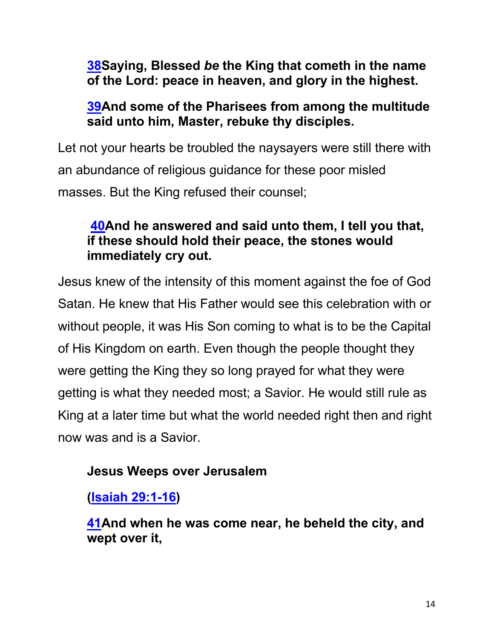**38Saying, Blessed** *be* **the King that cometh in the name of the Lord: peace in heaven, and glory in the highest.**

#### **39And some of the Pharisees from among the multitude said unto him, Master, rebuke thy disciples.**

Let not your hearts be troubled the naysayers were still there with an abundance of religious guidance for these poor misled masses. But the King refused their counsel;

### **40And he answered and said unto them, I tell you that, if these should hold their peace, the stones would immediately cry out.**

Jesus knew of the intensity of this moment against the foe of God Satan. He knew that His Father would see this celebration with or without people, it was His Son coming to what is to be the Capital of His Kingdom on earth. Even though the people thought they were getting the King they so long prayed for what they were getting is what they needed most; a Savior. He would still rule as King at a later time but what the world needed right then and right now was and is a Savior.

## **Jesus Weeps over Jerusalem**

**(Isaiah 29:1-16)**

**41And when he was come near, he beheld the city, and wept over it,**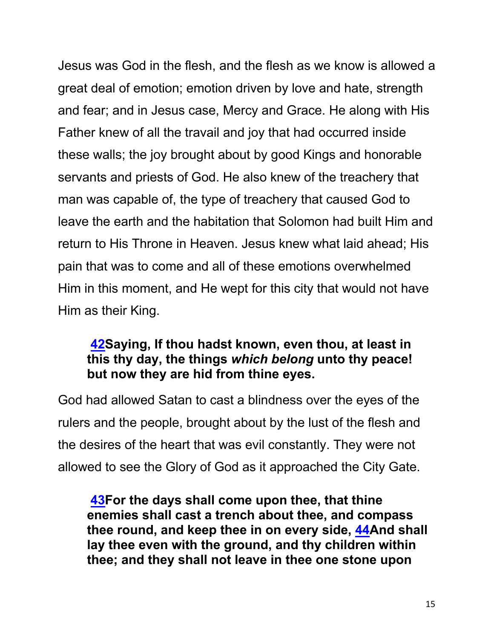Jesus was God in the flesh, and the flesh as we know is allowed a great deal of emotion; emotion driven by love and hate, strength and fear; and in Jesus case, Mercy and Grace. He along with His Father knew of all the travail and joy that had occurred inside these walls; the joy brought about by good Kings and honorable servants and priests of God. He also knew of the treachery that man was capable of, the type of treachery that caused God to leave the earth and the habitation that Solomon had built Him and return to His Throne in Heaven. Jesus knew what laid ahead; His pain that was to come and all of these emotions overwhelmed Him in this moment, and He wept for this city that would not have Him as their King.

#### **42Saying, If thou hadst known, even thou, at least in this thy day, the things** *which belong* **unto thy peace! but now they are hid from thine eyes.**

God had allowed Satan to cast a blindness over the eyes of the rulers and the people, brought about by the lust of the flesh and the desires of the heart that was evil constantly. They were not allowed to see the Glory of God as it approached the City Gate.

**43For the days shall come upon thee, that thine enemies shall cast a trench about thee, and compass thee round, and keep thee in on every side, 44And shall lay thee even with the ground, and thy children within thee; and they shall not leave in thee one stone upon**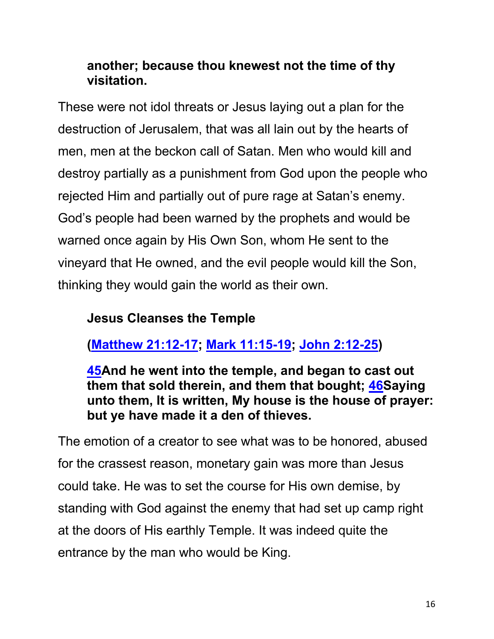### **another; because thou knewest not the time of thy visitation.**

These were not idol threats or Jesus laying out a plan for the destruction of Jerusalem, that was all lain out by the hearts of men, men at the beckon call of Satan. Men who would kill and destroy partially as a punishment from God upon the people who rejected Him and partially out of pure rage at Satan's enemy. God's people had been warned by the prophets and would be warned once again by His Own Son, whom He sent to the vineyard that He owned, and the evil people would kill the Son, thinking they would gain the world as their own.

### **Jesus Cleanses the Temple**

## **(Matthew 21:12-17; Mark 11:15-19; John 2:12-25)**

**45And he went into the temple, and began to cast out them that sold therein, and them that bought; 46Saying unto them, It is written, My house is the house of prayer: but ye have made it a den of thieves.**

The emotion of a creator to see what was to be honored, abused for the crassest reason, monetary gain was more than Jesus could take. He was to set the course for His own demise, by standing with God against the enemy that had set up camp right at the doors of His earthly Temple. It was indeed quite the entrance by the man who would be King.